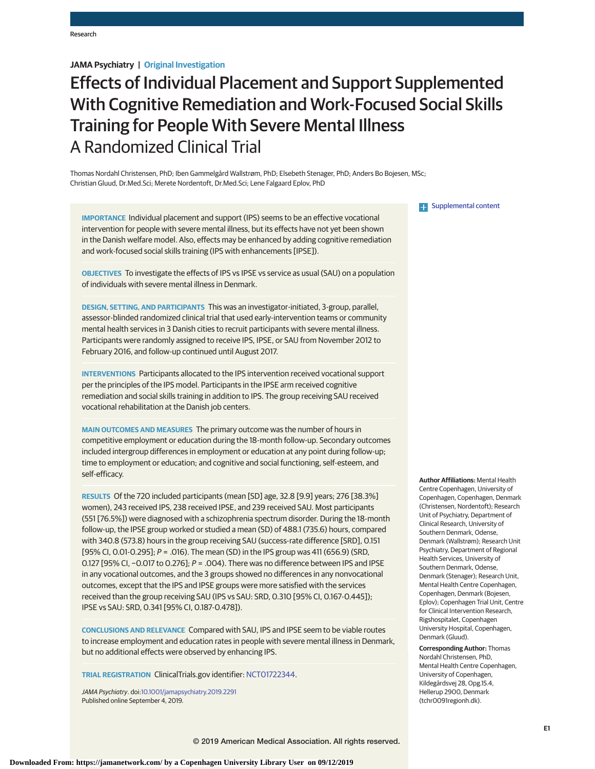# **JAMA Psychiatry | Original Investigation**

# Effects of Individual Placement and Support Supplemented With Cognitive Remediation and Work-Focused Social Skills Training for People With Severe Mental Illness A Randomized Clinical Trial

Thomas Nordahl Christensen, PhD; Iben Gammelgård Wallstrøm, PhD; Elsebeth Stenager, PhD; Anders Bo Bojesen, MSc; Christian Gluud, Dr.Med.Sci; Merete Nordentoft, Dr.Med.Sci; Lene Falgaard Eplov, PhD

**IMPORTANCE** Individual placement and support (IPS) seems to be an effective vocational intervention for people with severe mental illness, but its effects have not yet been shown in the Danish welfare model. Also, effects may be enhanced by adding cognitive remediation and work-focused social skills training (IPS with enhancements [IPSE]).

**OBJECTIVES** To investigate the effects of IPS vs IPSE vs service as usual (SAU) on a population of individuals with severe mental illness in Denmark.

**DESIGN, SETTING, AND PARTICIPANTS** This was an investigator-initiated, 3-group, parallel, assessor-blinded randomized clinical trial that used early-intervention teams or community mental health services in 3 Danish cities to recruit participants with severe mental illness. Participants were randomly assigned to receive IPS, IPSE, or SAU from November 2012 to February 2016, and follow-up continued until August 2017.

**INTERVENTIONS** Participants allocated to the IPS intervention received vocational support per the principles of the IPS model. Participants in the IPSE arm received cognitive remediation and social skills training in addition to IPS. The group receiving SAU received vocational rehabilitation at the Danish job centers.

**MAIN OUTCOMES AND MEASURES** The primary outcome was the number of hours in competitive employment or education during the 18-month follow-up. Secondary outcomes included intergroup differences in employment or education at any point during follow-up; time to employment or education; and cognitive and social functioning, self-esteem, and self-efficacy.

**RESULTS** Of the 720 included participants (mean [SD] age, 32.8 [9.9] years; 276 [38.3%] women), 243 received IPS, 238 received IPSE, and 239 received SAU. Most participants (551 [76.5%]) were diagnosed with a schizophrenia spectrum disorder. During the 18-month follow-up, the IPSE group worked or studied a mean (SD) of 488.1 (735.6) hours, compared with 340.8 (573.8) hours in the group receiving SAU (success-rate difference [SRD], 0.151 [95% CI, 0.01-0.295]; P = .016). The mean (SD) in the IPS group was 411 (656.9) (SRD, 0.127 [95% CI, −0.017 to 0.276];  $P = .004$ ). There was no difference between IPS and IPSE in any vocational outcomes, and the 3 groups showed no differences in any nonvocational outcomes, except that the IPS and IPSE groups were more satisfied with the services received than the group receiving SAU (IPS vs SAU: SRD, 0.310 [95% CI, 0.167-0.445]); IPSE vs SAU: SRD, 0.341 [95% CI, 0.187-0.478]).

**CONCLUSIONS AND RELEVANCE** Compared with SAU, IPS and IPSE seem to be viable routes to increase employment and education rates in people with severe mental illness in Denmark, but no additional effects were observed by enhancing IPS.

**TRIAL REGISTRATION** ClinicalTrials.gov identifier: [NCT01722344.](https://clinicaltrials.gov/ct2/show/NCT01722344)

JAMA Psychiatry. doi[:10.1001/jamapsychiatry.2019.2291](https://jama.jamanetwork.com/article.aspx?doi=10.1001/jamapsychiatry.2019.2291&utm_campaign=articlePDF%26utm_medium=articlePDFlink%26utm_source=articlePDF%26utm_content=jamapsychiatry.2019.2291) Published online September 4, 2019.

**Examplemental content** 

**Author Affiliations:** Mental Health Centre Copenhagen, University of Copenhagen, Copenhagen, Denmark (Christensen, Nordentoft); Research Unit of Psychiatry, Department of Clinical Research, University of Southern Denmark, Odense, Denmark (Wallstrøm); Research Unit Psychiatry, Department of Regional Health Services, University of Southern Denmark, Odense, Denmark (Stenager); Research Unit, Mental Health Centre Copenhagen, Copenhagen, Denmark (Bojesen, Eplov); Copenhagen Trial Unit, Centre for Clinical Intervention Research, Rigshospitalet, Copenhagen University Hospital, Copenhagen, Denmark (Gluud).

**Corresponding Author:** Thomas Nordahl Christensen, PhD, Mental Health Centre Copenhagen, University of Copenhagen, Kildegårdsvej 28, Opg.15.4, Hellerup 2900, Denmark (tchr0091regionh.dk).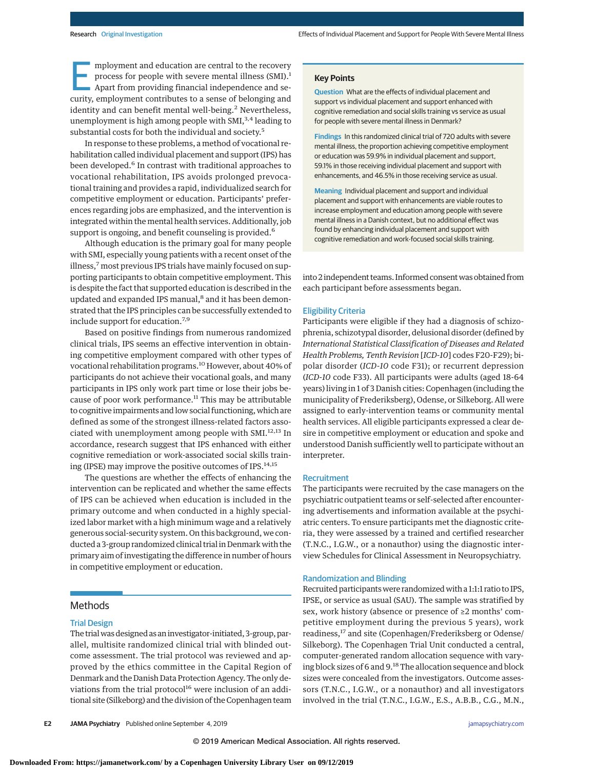mployment and education are central to the recovery<br>process for people with severe mental illness (SMI).<sup>1</sup><br>Apart from providing financial independence and se-<br>curity employment contributes to a sense of belonging and process for people with severe mental illness (SMI).<sup>1</sup> curity, employment contributes to a sense of belonging and identity and can benefit mental well-being.<sup>2</sup> Nevertheless, unemployment is high among people with  $SMI$ ,<sup>3,4</sup> leading to substantial costs for both the individual and society.<sup>5</sup>

In response to these problems, a method of vocational rehabilitation called individual placement and support (IPS) has been developed.<sup>6</sup> In contrast with traditional approaches to vocational rehabilitation, IPS avoids prolonged prevocational training and provides a rapid, individualized search for competitive employment or education. Participants' preferences regarding jobs are emphasized, and the intervention is integrated within the mental health services. Additionally, job support is ongoing, and benefit counseling is provided.<sup>6</sup>

Although education is the primary goal for many people with SMI, especially young patients with a recent onset of the illness,<sup>7</sup> most previous IPS trials have mainly focused on supporting participants to obtain competitive employment. This is despite the fact that supported education is described in the updated and expanded IPS manual,<sup>8</sup> and it has been demonstrated that the IPS principles can be successfully extended to include support for education.7,9

Based on positive findings from numerous randomized clinical trials, IPS seems an effective intervention in obtaining competitive employment compared with other types of vocational rehabilitation programs.10 However, about 40% of participants do not achieve their vocational goals, and many participants in IPS only work part time or lose their jobs because of poor work performance.<sup>11</sup> This may be attributable to cognitive impairments and low social functioning, which are defined as some of the strongest illness-related factors associated with unemployment among people with SMI.12,13 In accordance, research suggest that IPS enhanced with either cognitive remediation or work-associated social skills training (IPSE) may improve the positive outcomes of IPS.<sup>14,15</sup>

The questions are whether the effects of enhancing the intervention can be replicated and whether the same effects of IPS can be achieved when education is included in the primary outcome and when conducted in a highly specialized labor market with a high minimum wage and a relatively generous social-security system. On this background, we conducted a 3-group randomized clinical trial in Denmark with the primary aim of investigating the difference in number of hours in competitive employment or education.

# **Methods**

# Trial Design

The trial was designed as an investigator-initiated, 3-group, parallel, multisite randomized clinical trial with blinded outcome assessment. The trial protocol was reviewed and approved by the ethics committee in the Capital Region of Denmark and the Danish Data Protection Agency. The only deviations from the trial protocol $16$  were inclusion of an additional site (Silkeborg) and the division of the Copenhagen team

**Key Points**

**Question** What are the effects of individual placement and support vs individual placement and support enhanced with cognitive remediation and social skills training vs service as usual for people with severe mental illness in Denmark?

**Findings** In this randomized clinical trial of 720 adults with severe mental illness, the proportion achieving competitive employment or education was 59.9% in individual placement and support, 59.1% in those receiving individual placement and support with enhancements, and 46.5% in those receiving service as usual.

**Meaning** Individual placement and support and individual placement and support with enhancements are viable routes to increase employment and education among people with severe mental illness in a Danish context, but no additional effect was found by enhancing individual placement and support with cognitive remediation and work-focused social skills training.

into 2 independent teams. Informed consent was obtained from each participant before assessments began.

#### Eligibility Criteria

Participants were eligible if they had a diagnosis of schizophrenia, schizotypal disorder, delusional disorder (defined by *International Statistical Classification of Diseases and Related Health Problems, Tenth Revision* [*ICD-10*] codes F20-F29); bipolar disorder (*ICD-10* code F31); or recurrent depression (*ICD-10* code F33). All participants were adults (aged 18-64 years) living in 1 of 3 Danish cities: Copenhagen (including the municipality of Frederiksberg), Odense, or Silkeborg. All were assigned to early-intervention teams or community mental health services. All eligible participants expressed a clear desire in competitive employment or education and spoke and understood Danish sufficiently well to participate without an interpreter.

#### **Recruitment**

The participants were recruited by the case managers on the psychiatric outpatient teams or self-selected after encountering advertisements and information available at the psychiatric centers. To ensure participants met the diagnostic criteria, they were assessed by a trained and certified researcher (T.N.C., I.G.W., or a nonauthor) using the diagnostic interview Schedules for Clinical Assessment in Neuropsychiatry.

#### Randomization and Blinding

Recruited participants were randomized with a 1:1:1 ratio to IPS, IPSE, or service as usual (SAU). The sample was stratified by sex, work history (absence or presence of ≥2 months' competitive employment during the previous 5 years), work readiness,<sup>17</sup> and site (Copenhagen/Frederiksberg or Odense/ Silkeborg). The Copenhagen Trial Unit conducted a central, computer-generated random allocation sequence with varying block sizes of 6 and 9. $^{18}$  The allocation sequence and block sizes were concealed from the investigators. Outcome assessors (T.N.C., I.G.W., or a nonauthor) and all investigators involved in the trial (T.N.C., I.G.W., E.S., A.B.B., C.G., M.N.,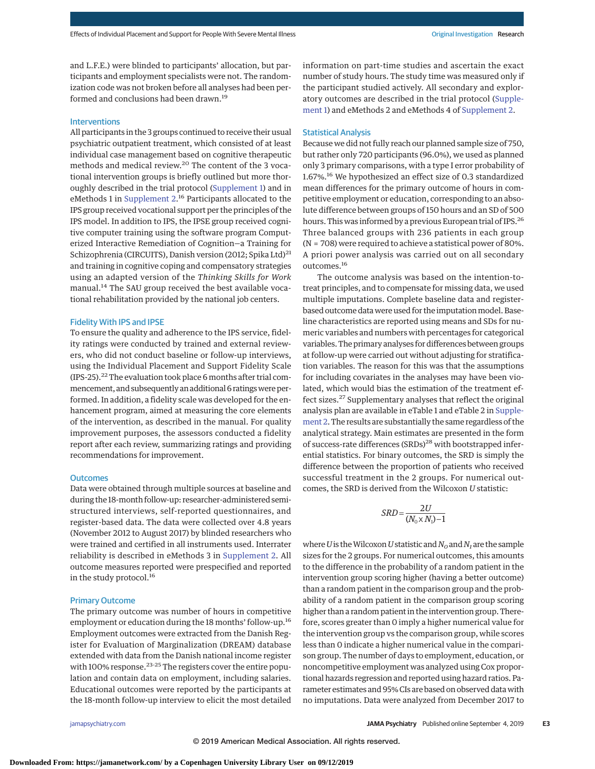and L.F.E.) were blinded to participants' allocation, but participants and employment specialists were not. The randomization code was not broken before all analyses had been performed and conclusions had been drawn.<sup>19</sup>

## Interventions

All participants in the 3 groups continued to receive their usual psychiatric outpatient treatment, which consisted of at least individual case management based on cognitive therapeutic methods and medical review.<sup>20</sup> The content of the 3 vocational intervention groups is briefly outlined but more thoroughly described in the trial protocol [\(Supplement 1\)](https://jama.jamanetwork.com/article.aspx?doi=10.1001/jamapsychiatry.2019.2291&utm_campaign=articlePDF%26utm_medium=articlePDFlink%26utm_source=articlePDF%26utm_content=jamapsychiatry.2019.2291) and in eMethods 1 in [Supplement 2.](https://jama.jamanetwork.com/article.aspx?doi=10.1001/jamapsychiatry.2019.2291&utm_campaign=articlePDF%26utm_medium=articlePDFlink%26utm_source=articlePDF%26utm_content=jamapsychiatry.2019.2291)<sup>16</sup> Participants allocated to the IPS group received vocational support per the principles of the IPS model. In addition to IPS, the IPSE group received cognitive computer training using the software program Computerized Interactive Remediation of Cognition—a Training for Schizophrenia (CIRCUITS), Danish version (2012; Spika Ltd)<sup>21</sup> and training in cognitive coping and compensatory strategies using an adapted version of the *Thinking Skills for Work* manual.<sup>14</sup> The SAU group received the best available vocational rehabilitation provided by the national job centers.

#### Fidelity With IPS and IPSE

To ensure the quality and adherence to the IPS service, fidelity ratings were conducted by trained and external reviewers, who did not conduct baseline or follow-up interviews, using the Individual Placement and Support Fidelity Scale (IPS-25).<sup>22</sup> The evaluation took place 6 months after trial commencement, and subsequently an additional 6 ratings were performed. In addition, a fidelity scale was developed for the enhancement program, aimed at measuring the core elements of the intervention, as described in the manual. For quality improvement purposes, the assessors conducted a fidelity report after each review, summarizing ratings and providing recommendations for improvement.

### **Outcomes**

Data were obtained through multiple sources at baseline and during the 18-month follow-up: researcher-administered semistructured interviews, self-reported questionnaires, and register-based data. The data were collected over 4.8 years (November 2012 to August 2017) by blinded researchers who were trained and certified in all instruments used. Interrater reliability is described in eMethods 3 in [Supplement 2.](https://jama.jamanetwork.com/article.aspx?doi=10.1001/jamapsychiatry.2019.2291&utm_campaign=articlePDF%26utm_medium=articlePDFlink%26utm_source=articlePDF%26utm_content=jamapsychiatry.2019.2291) All outcome measures reported were prespecified and reported in the study protocol.<sup>16</sup>

## Primary Outcome

The primary outcome was number of hours in competitive employment or education during the 18 months' follow-up.16 Employment outcomes were extracted from the Danish Register for Evaluation of Marginalization (DREAM) database extended with data from the Danish national income register with 100% response.<sup>23-25</sup> The registers cover the entire population and contain data on employment, including salaries. Educational outcomes were reported by the participants at the 18-month follow-up interview to elicit the most detailed information on part-time studies and ascertain the exact number of study hours. The study time was measured only if the participant studied actively. All secondary and exploratory outcomes are described in the trial protocol [\(Supple](https://jama.jamanetwork.com/article.aspx?doi=10.1001/jamapsychiatry.2019.2291&utm_campaign=articlePDF%26utm_medium=articlePDFlink%26utm_source=articlePDF%26utm_content=jamapsychiatry.2019.2291)[ment 1\)](https://jama.jamanetwork.com/article.aspx?doi=10.1001/jamapsychiatry.2019.2291&utm_campaign=articlePDF%26utm_medium=articlePDFlink%26utm_source=articlePDF%26utm_content=jamapsychiatry.2019.2291) and eMethods 2 and eMethods 4 of [Supplement 2.](https://jama.jamanetwork.com/article.aspx?doi=10.1001/jamapsychiatry.2019.2291&utm_campaign=articlePDF%26utm_medium=articlePDFlink%26utm_source=articlePDF%26utm_content=jamapsychiatry.2019.2291)

# Statistical Analysis

Because we did not fully reach our planned sample size of 750, but rather only 720 participants (96.0%), we used as planned only 3 primary comparisons, with a type I error probability of 1.67%.<sup>16</sup> We hypothesized an effect size of 0.3 standardized mean differences for the primary outcome of hours in competitive employment or education, corresponding to an absolute difference between groups of 150 hours and an SD of 500 hours. This was informed by a previous European trial of IPS.<sup>26</sup> Three balanced groups with 236 patients in each group (N = 708) were required to achieve a statistical power of 80%. A priori power analysis was carried out on all secondary outcomes.<sup>16</sup>

The outcome analysis was based on the intention-totreat principles, and to compensate for missing data, we used multiple imputations. Complete baseline data and registerbased outcome data were used for the imputation model. Baseline characteristics are reported using means and SDs for numeric variables and numbers with percentages for categorical variables. The primary analyses for differences between groups at follow-up were carried out without adjusting for stratification variables. The reason for this was that the assumptions for including covariates in the analyses may have been violated, which would bias the estimation of the treatment effect sizes.<sup>27</sup> Supplementary analyses that reflect the original analysis plan are available in eTable 1 and eTable 2 in [Supple](https://jama.jamanetwork.com/article.aspx?doi=10.1001/jamapsychiatry.2019.2291&utm_campaign=articlePDF%26utm_medium=articlePDFlink%26utm_source=articlePDF%26utm_content=jamapsychiatry.2019.2291)[ment 2.](https://jama.jamanetwork.com/article.aspx?doi=10.1001/jamapsychiatry.2019.2291&utm_campaign=articlePDF%26utm_medium=articlePDFlink%26utm_source=articlePDF%26utm_content=jamapsychiatry.2019.2291) The results are substantially the same regardless of the analytical strategy. Main estimates are presented in the form of success-rate differences (SRDs)<sup>28</sup> with bootstrapped inferential statistics. For binary outcomes, the SRD is simply the difference between the proportion of patients who received successful treatment in the 2 groups. For numerical outcomes, the SRD is derived from the Wilcoxon *U* statistic:

$$
SRD = \frac{2U}{(N_0 \times N_1) - 1}
$$

where *U* is the Wilcoxon *U* statistic and  $N_0$  and  $N_1$  are the sample sizes for the 2 groups. For numerical outcomes, this amounts to the difference in the probability of a random patient in the intervention group scoring higher (having a better outcome) than a random patient in the comparison group and the probability of a random patient in the comparison group scoring higher than a random patient in the intervention group. Therefore, scores greater than 0 imply a higher numerical value for the intervention group vs the comparison group, while scores less than 0 indicate a higher numerical value in the comparison group. The number of days to employment, education, or noncompetitive employment was analyzed using Cox proportional hazards regression and reported using hazard ratios. Parameter estimates and 95% CIs are based on observed data with no imputations. Data were analyzed from December 2017 to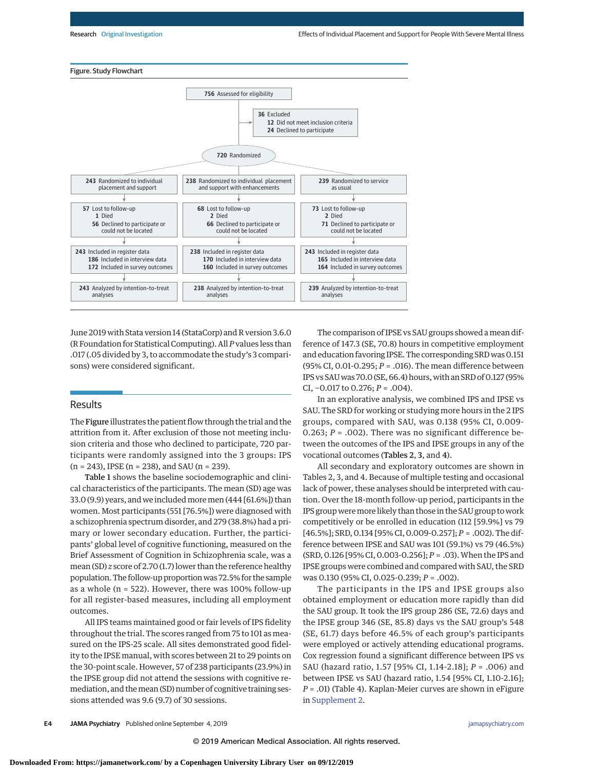



June 2019 with Stata version 14 (StataCorp) and R version 3.6.0 (R Foundation for Statistical Computing). All*P* values less than .017 (.05 divided by 3, to accommodate the study's 3 comparisons) were considered significant.

# **Results**

The Figure illustrates the patient flow through the trial and the attrition from it. After exclusion of those not meeting inclusion criteria and those who declined to participate, 720 participants were randomly assigned into the 3 groups: IPS  $(n = 243)$ , IPSE  $(n = 238)$ , and SAU  $(n = 239)$ .

Table 1 shows the baseline sociodemographic and clinical characteristics of the participants. The mean (SD) age was 33.0 (9.9) years, and we includedmoremen (444 [61.6%]) than women. Most participants (551 [76.5%]) were diagnosed with a schizophrenia spectrum disorder, and 279 (38.8%) had a primary or lower secondary education. Further, the participants' global level of cognitive functioning, measured on the Brief Assessment of Cognition in Schizophrenia scale, was a mean (SD) *z* score of 2.70 (1.7) lower than the reference healthy population. The follow-up proportion was 72.5% for the sample as a whole (n = 522). However, there was 100% follow-up for all register-based measures, including all employment outcomes.

All IPS teams maintained good or fair levels of IPS fidelity throughout the trial. The scores ranged from 75 to 101 as measured on the IPS-25 scale. All sites demonstrated good fidelity to the IPSE manual, with scores between 21 to 29 points on the 30-point scale. However, 57 of 238 participants (23.9%) in the IPSE group did not attend the sessions with cognitive remediation, and the mean (SD) number of cognitive training sessions attended was 9.6 (9.7) of 30 sessions.

The comparison of IPSE vs SAU groups showed amean difference of 147.3 (SE, 70.8) hours in competitive employment and education favoring IPSE. The corresponding SRD was 0.151 (95% CI, 0.01-0.295; *P* = .016). The mean difference between IPS vs SAU was 70.0 (SE, 66.4) hours, with an SRD of 0.127 (95% CI, −0.017 to 0.276; *P* = .004).

In an explorative analysis, we combined IPS and IPSE vs SAU. The SRD for working or studying more hours in the 2 IPS groups, compared with SAU, was 0.138 (95% CI, 0.009- 0.263;  $P = .002$ ). There was no significant difference between the outcomes of the IPS and IPSE groups in any of the vocational outcomes (Tables 2, 3, and 4).

All secondary and exploratory outcomes are shown in Tables 2, 3, and 4. Because of multiple testing and occasional lack of power, these analyses should be interpreted with caution. Over the 18-month follow-up period, participants in the IPS group weremore likely than those in the SAU group to work competitively or be enrolled in education (112 [59.9%] vs 79 [46.5%]; SRD, 0.134 [95% CI, 0.009-0.257]; *P* = .002). The difference between IPSE and SAU was 101 (59.1%) vs 79 (46.5%) (SRD, 0.126 [95% CI, 0.003-0.256]; *P* = .03).When the IPS and IPSE groups were combined and compared with SAU, the SRD was 0.130 (95% CI, 0.025-0.239; *P* = .002).

The participants in the IPS and IPSE groups also obtained employment or education more rapidly than did the SAU group. It took the IPS group 286 (SE, 72.6) days and the IPSE group 346 (SE, 85.8) days vs the SAU group's 548 (SE, 61.7) days before 46.5% of each group's participants were employed or actively attending educational programs. Cox regression found a significant difference between IPS vs SAU (hazard ratio, 1.57 [95% CI, 1.14-2.18]; *P* = .006) and between IPSE vs SAU (hazard ratio, 1.54 [95% CI, 1.10-2.16]; *P* = .01) (Table 4). Kaplan-Meier curves are shown in eFigure in [Supplement 2.](https://jama.jamanetwork.com/article.aspx?doi=10.1001/jamapsychiatry.2019.2291&utm_campaign=articlePDF%26utm_medium=articlePDFlink%26utm_source=articlePDF%26utm_content=jamapsychiatry.2019.2291)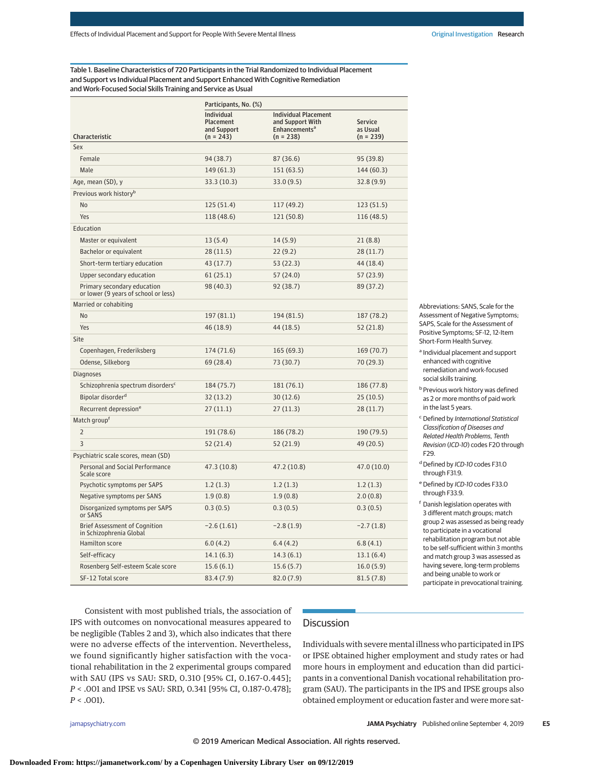Table 1. Baseline Characteristics of 720 Participants in the Trial Randomized to Individual Placement and Support vs Individual Placement and Support Enhanced With Cognitive Remediation and Work-Focused Social Skills Training and Service as Usual

|                                                                     | Participants, No. (%)                                 |                                                                                                   |                                         |  |  |  |  |
|---------------------------------------------------------------------|-------------------------------------------------------|---------------------------------------------------------------------------------------------------|-----------------------------------------|--|--|--|--|
| Characteristic                                                      | Individual<br>Placement<br>and Support<br>$(n = 243)$ | <b>Individual Placement</b><br>and Support With<br><b>Enhancements<sup>a</sup></b><br>$(n = 238)$ | <b>Service</b><br>as Usual<br>(n = 239) |  |  |  |  |
| Sex                                                                 |                                                       |                                                                                                   |                                         |  |  |  |  |
| Female                                                              | 94 (38.7)                                             | 87 (36.6)                                                                                         | 95 (39.8)                               |  |  |  |  |
| Male                                                                | 149 (61.3)                                            | 151 (63.5)                                                                                        | 144 (60.3)                              |  |  |  |  |
| Age, mean (SD), y                                                   | 33.3 (10.3)                                           | 33.0(9.5)                                                                                         | 32.8(9.9)                               |  |  |  |  |
| Previous work history <sup>b</sup>                                  |                                                       |                                                                                                   |                                         |  |  |  |  |
| N <sub>o</sub>                                                      | 125 (51.4)                                            | 117 (49.2)                                                                                        | 123 (51.5)                              |  |  |  |  |
| Yes                                                                 | 118 (48.6)                                            | 121 (50.8)                                                                                        | 116 (48.5)                              |  |  |  |  |
| Education                                                           |                                                       |                                                                                                   |                                         |  |  |  |  |
| Master or equivalent                                                | 13(5.4)                                               | 14(5.9)                                                                                           | 21(8.8)                                 |  |  |  |  |
| Bachelor or equivalent                                              | 28 (11.5)                                             | 22(9.2)                                                                                           | 28 (11.7)                               |  |  |  |  |
| Short-term tertiary education                                       | 43 (17.7)                                             | 53 (22.3)                                                                                         | 44 (18.4)                               |  |  |  |  |
| Upper secondary education                                           | 61 (25.1)                                             | 57 (24.0)                                                                                         | 57 (23.9)                               |  |  |  |  |
| Primary secondary education<br>or lower (9 years of school or less) | 98 (40.3)                                             | 92 (38.7)                                                                                         | 89 (37.2)                               |  |  |  |  |
| Married or cohabiting                                               |                                                       |                                                                                                   |                                         |  |  |  |  |
| No                                                                  | 197 (81.1)                                            | 194 (81.5)                                                                                        | 187 (78.2)                              |  |  |  |  |
| Yes                                                                 | 46 (18.9)                                             | 44 (18.5)                                                                                         | 52 (21.8)                               |  |  |  |  |
| Site                                                                |                                                       |                                                                                                   |                                         |  |  |  |  |
| Copenhagen, Frederiksberg                                           | 174 (71.6)                                            | 165(69.3)                                                                                         | 169 (70.7)                              |  |  |  |  |
| Odense, Silkeborg                                                   | 69 (28.4)                                             | 73 (30.7)                                                                                         | 70 (29.3)                               |  |  |  |  |
| <b>Diagnoses</b>                                                    |                                                       |                                                                                                   |                                         |  |  |  |  |
| Schizophrenia spectrum disorders <sup>c</sup>                       | 184 (75.7)                                            | 181 (76.1)                                                                                        | 186 (77.8)                              |  |  |  |  |
| Bipolar disorder <sup>d</sup>                                       | 32 (13.2)                                             | 30(12.6)                                                                                          | 25 (10.5)                               |  |  |  |  |
| Recurrent depression <sup>e</sup>                                   | 27(11.1)                                              | 27(11.3)                                                                                          | 28 (11.7)                               |  |  |  |  |
| Match group <sup>t</sup>                                            |                                                       |                                                                                                   |                                         |  |  |  |  |
| $\overline{2}$                                                      | 191 (78.6)                                            | 186 (78.2)                                                                                        | 190 (79.5)                              |  |  |  |  |
| 3                                                                   | 52 (21.4)                                             | 52 (21.9)                                                                                         | 49 (20.5)                               |  |  |  |  |
| Psychiatric scale scores, mean (SD)                                 |                                                       |                                                                                                   |                                         |  |  |  |  |
| Personal and Social Performance<br>Scale score                      | 47.3 (10.8)                                           | 47.2 (10.8)                                                                                       | 47.0 (10.0)                             |  |  |  |  |
| Psychotic symptoms per SAPS                                         | 1.2(1.3)                                              | 1.2(1.3)                                                                                          | 1.2(1.3)                                |  |  |  |  |
| Negative symptoms per SANS                                          | 1.9(0.8)                                              | 1.9(0.8)                                                                                          | 2.0(0.8)                                |  |  |  |  |
| Disorganized symptoms per SAPS<br>or SANS                           | 0.3(0.5)                                              | 0.3(0.5)                                                                                          | 0.3(0.5)                                |  |  |  |  |
| Brief Assessment of Cognition<br>in Schizophrenia Global            | $-2.6(1.61)$                                          | $-2.8(1.9)$                                                                                       | $-2.7(1.8)$                             |  |  |  |  |
| Hamilton score                                                      | 6.0(4.2)                                              | 6.4(4.2)                                                                                          | 6.8(4.1)                                |  |  |  |  |
| Self-efficacy                                                       | 14.1(6.3)                                             | 14.3(6.1)                                                                                         | 13.1(6.4)                               |  |  |  |  |
| Rosenberg Self-esteem Scale score                                   | 15.6(6.1)                                             | 15.6(5.7)                                                                                         | 16.0(5.9)                               |  |  |  |  |
| SF-12 Total score                                                   | 83.4 (7.9)                                            | 82.0(7.9)                                                                                         | 81.5(7.8)                               |  |  |  |  |

Abbreviations: SANS, Scale for the Assessment of Negative Symptoms; SAPS, Scale for the Assessment of Positive Symptoms; SF-12, 12-Item Short-Form Health Survey.

<sup>a</sup> Individual placement and support enhanced with cognitive remediation and work-focused social skills training.

- **b** Previous work history was defined as 2 or more months of paid work in the last 5 years.
- <sup>c</sup> Defined by International Statistical Classification of Diseases and Related Health Problems, Tenth Revision (ICD-10) codes F20 through F29.
- <sup>d</sup> Defined by ICD-10 codes F31.0 through F31.9.
- <sup>e</sup> Defined by ICD-10 codes F33.0 through F33.9.

<sup>f</sup> Danish legislation operates with 3 different match groups; match group 2 was assessed as being ready to participate in a vocational rehabilitation program but not able to be self-sufficient within 3 months and match group 3 was assessed as having severe, long-term problems and being unable to work or participate in prevocational training.

Consistent with most published trials, the association of IPS with outcomes on nonvocational measures appeared to be negligible (Tables 2 and 3), which also indicates that there were no adverse effects of the intervention. Nevertheless, we found significantly higher satisfaction with the vocational rehabilitation in the 2 experimental groups compared with SAU (IPS vs SAU: SRD, 0.310 [95% CI, 0.167-0.445]; *P* < .001 and IPSE vs SAU: SRD, 0.341 [95% CI, 0.187-0.478]; *P* < .001).

# Discussion

Individuals with severe mental illness who participated in IPS or IPSE obtained higher employment and study rates or had more hours in employment and education than did participants in a conventional Danish vocational rehabilitation program (SAU). The participants in the IPS and IPSE groups also obtained employment or education faster and were more sat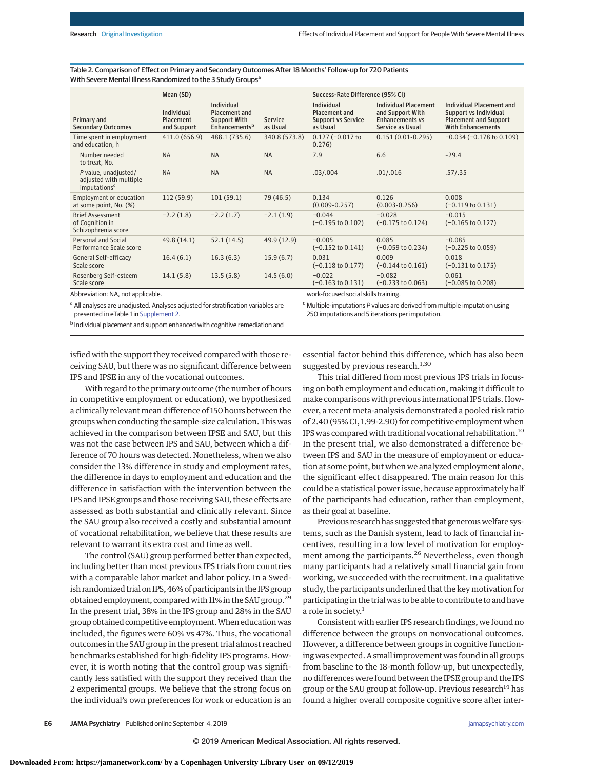Table 2. Comparison of Effect on Primary and Secondary Outcomes After 18 Months' Follow-up for 720 Patients With Severe Mental Illness Randomized to the 3 Study Groups<sup>a</sup>

|                                                                            | Mean (SD)                                            |                                                                                               |                     | Success-Rate Difference (95% CI)                                            |                                                                                               |                                                                                                               |  |
|----------------------------------------------------------------------------|------------------------------------------------------|-----------------------------------------------------------------------------------------------|---------------------|-----------------------------------------------------------------------------|-----------------------------------------------------------------------------------------------|---------------------------------------------------------------------------------------------------------------|--|
| Primary and<br><b>Secondary Outcomes</b>                                   | <b>Individual</b><br><b>Placement</b><br>and Support | <b>Individual</b><br><b>Placement and</b><br><b>Support With</b><br>Enhancements <sup>b</sup> | Service<br>as Usual | Individual<br><b>Placement and</b><br><b>Support vs Service</b><br>as Usual | <b>Individual Placement</b><br>and Support With<br><b>Enhancements vs</b><br>Service as Usual | Individual Placement and<br>Support vs Individual<br><b>Placement and Support</b><br><b>With Enhancements</b> |  |
| Time spent in employment<br>and education, h                               | 411.0 (656.9)                                        | 488.1 (735.6)                                                                                 | 340.8 (573.8)       | $0.127 (-0.017 to$<br>0.276)                                                | $0.151(0.01-0.295)$                                                                           | $-0.034 (-0.178 \text{ to } 0.109)$                                                                           |  |
| Number needed<br>to treat, No.                                             | <b>NA</b>                                            | <b>NA</b>                                                                                     | <b>NA</b>           | 7.9                                                                         | 6.6                                                                                           | $-29.4$                                                                                                       |  |
| P value, unadjusted/<br>adjusted with multiple<br>imputations <sup>c</sup> | <b>NA</b>                                            | <b>NA</b>                                                                                     | <b>NA</b>           | .03/.004                                                                    | .01/.016                                                                                      | .57/0.35                                                                                                      |  |
| Employment or education<br>at some point, No. (%)                          | 112(59.9)                                            | 101(59.1)                                                                                     | 79 (46.5)           | 0.134<br>$(0.009 - 0.257)$                                                  | 0.126<br>$(0.003 - 0.256)$                                                                    | 0.008<br>$(-0.119 \text{ to } 0.131)$                                                                         |  |
| <b>Brief Assessment</b><br>of Cognition in<br>Schizophrenia score          | $-2.2(1.8)$                                          | $-2.2(1.7)$                                                                                   | $-2.1(1.9)$         | $-0.044$<br>$(-0.195 \text{ to } 0.102)$                                    | $-0.028$<br>$(-0.175 \text{ to } 0.124)$                                                      | $-0.015$<br>$(-0.165 \text{ to } 0.127)$                                                                      |  |
| Personal and Social<br>Performance Scale score                             | 49.8 (14.1)                                          | 52.1(14.5)                                                                                    | 49.9 (12.9)         | $-0.005$<br>$(-0.152 \text{ to } 0.141)$                                    | 0.085<br>$(-0.059 \text{ to } 0.234)$                                                         | $-0.085$<br>$(-0.225 \text{ to } 0.059)$                                                                      |  |
| General Self-efficacy<br>Scale score                                       | 16.4(6.1)                                            | 16.3(6.3)                                                                                     | 15.9(6.7)           | 0.031<br>$(-0.118 \text{ to } 0.177)$                                       | 0.009<br>$(-0.144 \text{ to } 0.161)$                                                         | 0.018<br>$(-0.131 to 0.175)$                                                                                  |  |
| Rosenberg Self-esteem<br>Scale score                                       | 14.1(5.8)                                            | 13.5(5.8)                                                                                     | 14.5(6.0)           | $-0.022$<br>$(-0.163 \text{ to } 0.131)$                                    | $-0.082$<br>$(-0.233$ to $0.063)$                                                             | 0.061<br>$(-0.085 \text{ to } 0.208)$                                                                         |  |
| Abbreviation: NA, not applicable.                                          |                                                      |                                                                                               |                     | work-focused social skills training.                                        |                                                                                               |                                                                                                               |  |

Abbreviation: NA, not applicable.

a All analyses are unadjusted. Analyses adjusted for stratification variables are presented in eTable 1 in [Supplement 2.](https://jama.jamanetwork.com/article.aspx?doi=10.1001/jamapsychiatry.2019.2291&utm_campaign=articlePDF%26utm_medium=articlePDFlink%26utm_source=articlePDF%26utm_content=jamapsychiatry.2019.2291)

 $c$  Multiple-imputations  $P$  values are derived from multiple imputation using 250 imputations and 5 iterations per imputation.

**b** Individual placement and support enhanced with cognitive remediation and

isfied with the support they received compared with those receiving SAU, but there was no significant difference between IPS and IPSE in any of the vocational outcomes.

With regard to the primary outcome (the number of hours in competitive employment or education), we hypothesized a clinically relevant mean difference of 150 hours between the groups when conducting the sample-size calculation. This was achieved in the comparison between IPSE and SAU, but this was not the case between IPS and SAU, between which a difference of 70 hours was detected. Nonetheless, when we also consider the 13% difference in study and employment rates, the difference in days to employment and education and the difference in satisfaction with the intervention between the IPS and IPSE groups and those receiving SAU, these effects are assessed as both substantial and clinically relevant. Since the SAU group also received a costly and substantial amount of vocational rehabilitation, we believe that these results are relevant to warrant its extra cost and time as well.

The control (SAU) group performed better than expected, including better than most previous IPS trials from countries with a comparable labor market and labor policy. In a Swedish randomized trial on IPS, 46% of participants in the IPS group obtained employment, compared with 11% in the SAU group.29 In the present trial, 38% in the IPS group and 28% in the SAU group obtained competitive employment.When educationwas included, the figures were 60% vs 47%. Thus, the vocational outcomes in the SAU group in the present trial almost reached benchmarks established for high-fidelity IPS programs. However, it is worth noting that the control group was significantly less satisfied with the support they received than the 2 experimental groups. We believe that the strong focus on the individual's own preferences for work or education is an

essential factor behind this difference, which has also been suggested by previous research.<sup>1,30</sup>

This trial differed from most previous IPS trials in focusing on both employment and education, making it difficult to make comparisons with previous international IPS trials. However, a recent meta-analysis demonstrated a pooled risk ratio of 2.40 (95% CI, 1.99-2.90) for competitive employment when IPS was compared with traditional vocational rehabilitation.10 In the present trial, we also demonstrated a difference between IPS and SAU in the measure of employment or education at some point, but when we analyzed employment alone, the significant effect disappeared. The main reason for this could be a statistical power issue, because approximately half of the participants had education, rather than employment, as their goal at baseline.

Previous research has suggested that generous welfare systems, such as the Danish system, lead to lack of financial incentives, resulting in a low level of motivation for employment among the participants.<sup>26</sup> Nevertheless, even though many participants had a relatively small financial gain from working, we succeeded with the recruitment. In a qualitative study, the participants underlined that the key motivation for participating in the trial was to be able to contribute to and have a role in society.<sup>1</sup>

Consistent with earlier IPS research findings, we found no difference between the groups on nonvocational outcomes. However, a difference between groups in cognitive functioning was expected. A small improvement was found in all groups from baseline to the 18-month follow-up, but unexpectedly, no differences were found between the IPSE group and the IPS group or the SAU group at follow-up. Previous research<sup>14</sup> has found a higher overall composite cognitive score after inter-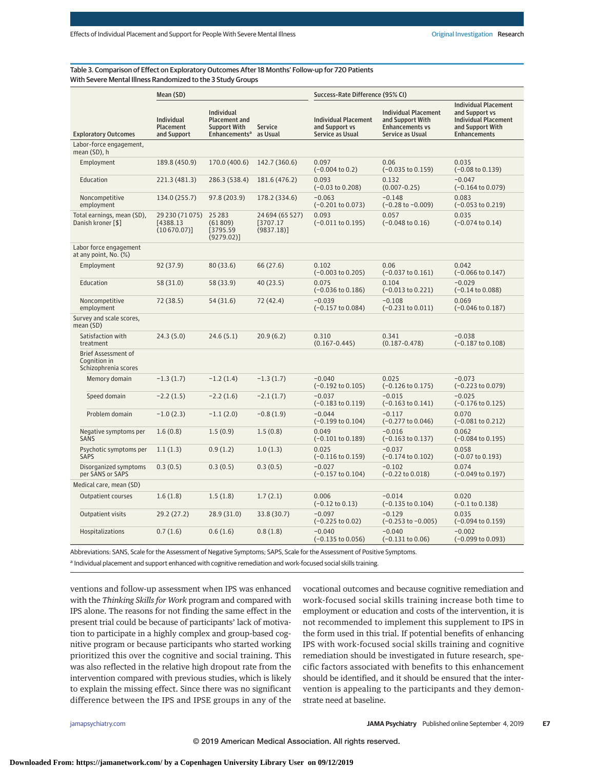## Table 3. Comparison of Effect on Exploratory Outcomes After 18 Months' Follow-up for 720 Patients With Severe Mental Illness Randomized to the 3 Study Groups

|                                                             | Mean (SD)                                            |                                                                                              |                                           | Success-Rate Difference (95% CI)                                  |                                                                                               |                                                                                                                         |  |
|-------------------------------------------------------------|------------------------------------------------------|----------------------------------------------------------------------------------------------|-------------------------------------------|-------------------------------------------------------------------|-----------------------------------------------------------------------------------------------|-------------------------------------------------------------------------------------------------------------------------|--|
| <b>Exploratory Outcomes</b>                                 | <b>Individual</b><br><b>Placement</b><br>and Support | Individual<br><b>Placement and</b><br><b>Support With</b><br><b>Enhancements<sup>a</sup></b> | <b>Service</b><br>as Usual                | <b>Individual Placement</b><br>and Support vs<br>Service as Usual | <b>Individual Placement</b><br>and Support With<br><b>Enhancements vs</b><br>Service as Usual | <b>Individual Placement</b><br>and Support vs<br><b>Individual Placement</b><br>and Support With<br><b>Enhancements</b> |  |
| Labor-force engagement,<br>mean (SD), h                     |                                                      |                                                                                              |                                           |                                                                   |                                                                                               |                                                                                                                         |  |
| Employment                                                  | 189.8 (450.9)                                        | 170.0 (400.6)                                                                                | 142.7 (360.6)                             | 0.097<br>$(-0.004 \text{ to } 0.2)$                               | 0.06<br>$(-0.035$ to $0.159)$                                                                 | 0.035<br>$(-0.08 \text{ to } 0.139)$                                                                                    |  |
| Education                                                   | 221.3 (481.3)                                        | 286.3 (538.4)                                                                                | 181.6 (476.2)                             | 0.093<br>$(-0.03 \text{ to } 0.208)$                              | 0.132<br>$(0.007 - 0.25)$                                                                     | $-0.047$<br>$(-0.164 \text{ to } 0.079)$                                                                                |  |
| Noncompetitive<br>employment                                | 134.0 (255.7)                                        | 97.8 (203.9)                                                                                 | 178.2 (334.6)                             | $-0.063$<br>$(-0.201 \text{ to } 0.073)$                          | $-0.148$<br>$(-0.28 \text{ to } -0.009)$                                                      | 0.083<br>$(-0.053 \text{ to } 0.219)$                                                                                   |  |
| Total earnings, mean (SD),<br>Danish kroner [\$]            | 29 230 (71 075)<br>[4388.13]<br>(10670.07)]          | 25 28 3<br>(61809)<br>[3795.59]<br>(9279.02)]                                                | 24 694 (65 527)<br>[3707.17]<br>(9837.18) | 0.093<br>$(-0.011 \text{ to } 0.195)$                             | 0.057<br>$(-0.048 \text{ to } 0.16)$                                                          | 0.035<br>$(-0.074 \text{ to } 0.14)$                                                                                    |  |
| Labor force engagement<br>at any point, No. (%)             |                                                      |                                                                                              |                                           |                                                                   |                                                                                               |                                                                                                                         |  |
| Employment                                                  | 92 (37.9)                                            | 80 (33.6)                                                                                    | 66 (27.6)                                 | 0.102<br>$(-0.003 \text{ to } 0.205)$                             | 0.06<br>$(-0.037 \text{ to } 0.161)$                                                          | 0.042<br>$(-0.066 \text{ to } 0.147)$                                                                                   |  |
| Education                                                   | 58 (31.0)                                            | 58 (33.9)                                                                                    | 40(23.5)                                  | 0.075<br>$(-0.036 \text{ to } 0.186)$                             | 0.104<br>$(-0.013 \text{ to } 0.221)$                                                         | $-0.029$<br>$(-0.14 \text{ to } 0.088)$                                                                                 |  |
| Noncompetitive<br>employment                                | 72 (38.5)                                            | 54 (31.6)                                                                                    | 72 (42.4)                                 | $-0.039$<br>$(-0.157 \text{ to } 0.084)$                          | $-0.108$<br>$(-0.231 \text{ to } 0.011)$                                                      | 0.069<br>$(-0.046 \text{ to } 0.187)$                                                                                   |  |
| Survey and scale scores,<br>mean (SD)                       |                                                      |                                                                                              |                                           |                                                                   |                                                                                               |                                                                                                                         |  |
| Satisfaction with<br>treatment                              | 24.3(5.0)                                            | 24.6(5.1)                                                                                    | 20.9(6.2)                                 | 0.310<br>$(0.167 - 0.445)$                                        | 0.341<br>$(0.187 - 0.478)$                                                                    | $-0.038$<br>$(-0.187 \text{ to } 0.108)$                                                                                |  |
| Brief Assessment of<br>Cognition in<br>Schizophrenia scores |                                                      |                                                                                              |                                           |                                                                   |                                                                                               |                                                                                                                         |  |
| Memory domain                                               | $-1.3(1.7)$                                          | $-1.2(1.4)$                                                                                  | $-1.3(1.7)$                               | $-0.040$<br>$(-0.192 \text{ to } 0.105)$                          | 0.025<br>$(-0.126 \text{ to } 0.175)$                                                         | $-0.073$<br>$(-0.223 \text{ to } 0.079)$                                                                                |  |
| Speed domain                                                | $-2.2(1.5)$                                          | $-2.2(1.6)$                                                                                  | $-2.1(1.7)$                               | $-0.037$<br>$(-0.183 \text{ to } 0.119)$                          | $-0.015$<br>$(-0.163 \text{ to } 0.141)$                                                      | $-0.025$<br>$(-0.176 \text{ to } 0.125)$                                                                                |  |
| Problem domain                                              | $-1.0(2.3)$                                          | $-1.1(2.0)$                                                                                  | $-0.8(1.9)$                               | $-0.044$<br>$(-0.199 \text{ to } 0.104)$                          | $-0.117$<br>$(-0.277$ to $0.046)$                                                             | 0.070<br>$(-0.081 \text{ to } 0.212)$                                                                                   |  |
| Negative symptoms per<br><b>SANS</b>                        | 1.6(0.8)                                             | 1.5(0.9)                                                                                     | 1.5(0.8)                                  | 0.049<br>$(-0.101 \text{ to } 0.189)$                             | $-0.016$<br>$(-0.163 \text{ to } 0.137)$                                                      | 0.062<br>$(-0.084 \text{ to } 0.195)$                                                                                   |  |
| Psychotic symptoms per<br><b>SAPS</b>                       | 1.1(1.3)                                             | 0.9(1.2)                                                                                     | 1.0(1.3)                                  | 0.025<br>$(-0.116 \text{ to } 0.159)$                             | $-0.037$<br>$(-0.174 \text{ to } 0.102)$                                                      | 0.058<br>$(-0.07 \text{ to } 0.193)$                                                                                    |  |
| Disorganized symptoms<br>per SANS or SAPS                   | 0.3(0.5)                                             | 0.3(0.5)                                                                                     | 0.3(0.5)                                  | $-0.027$<br>$(-0.157 \text{ to } 0.104)$                          | $-0.102$<br>$(-0.22 \text{ to } 0.018)$                                                       | 0.074<br>$(-0.049 \text{ to } 0.197)$                                                                                   |  |
| Medical care, mean (SD)                                     |                                                      |                                                                                              |                                           |                                                                   |                                                                                               |                                                                                                                         |  |
| Outpatient courses                                          | 1.6(1.8)                                             | 1.5(1.8)                                                                                     | 1.7(2.1)                                  | 0.006<br>$(-0.12 \text{ to } 0.13)$                               | $-0.014$<br>$(-0.135 \text{ to } 0.104)$                                                      | 0.020<br>$(-0.1 \text{ to } 0.138)$                                                                                     |  |
| Outpatient visits                                           | 29.2(27.2)                                           | 28.9(31.0)                                                                                   | 33.8 (30.7)                               | $-0.097$<br>$(-0.225 \text{ to } 0.02)$                           | $-0.129$<br>$(-0.253 \text{ to } -0.005)$                                                     | 0.035<br>$(-0.094 \text{ to } 0.159)$                                                                                   |  |
| Hospitalizations                                            | 0.7(1.6)                                             | 0.6(1.6)                                                                                     | 0.8(1.8)                                  | $-0.040$<br>$(-0.135 \text{ to } 0.056)$                          | $-0.040$<br>$(-0.131$ to $0.06)$                                                              | $-0.002$<br>$(-0.099$ to 0.093)                                                                                         |  |

Abbreviations: SANS, Scale for the Assessment of Negative Symptoms; SAPS, Scale for the Assessment of Positive Symptoms.

a Individual placement and support enhanced with cognitive remediation and work-focused social skills training.

ventions and follow-up assessment when IPS was enhanced with the *Thinking Skills for Work* program and compared with IPS alone. The reasons for not finding the same effect in the present trial could be because of participants' lack of motivation to participate in a highly complex and group-based cognitive program or because participants who started working prioritized this over the cognitive and social training. This was also reflected in the relative high dropout rate from the intervention compared with previous studies, which is likely to explain the missing effect. Since there was no significant difference between the IPS and IPSE groups in any of the

vocational outcomes and because cognitive remediation and work-focused social skills training increase both time to employment or education and costs of the intervention, it is not recommended to implement this supplement to IPS in the form used in this trial. If potential benefits of enhancing IPS with work-focused social skills training and cognitive remediation should be investigated in future research, specific factors associated with benefits to this enhancement should be identified, and it should be ensured that the intervention is appealing to the participants and they demonstrate need at baseline.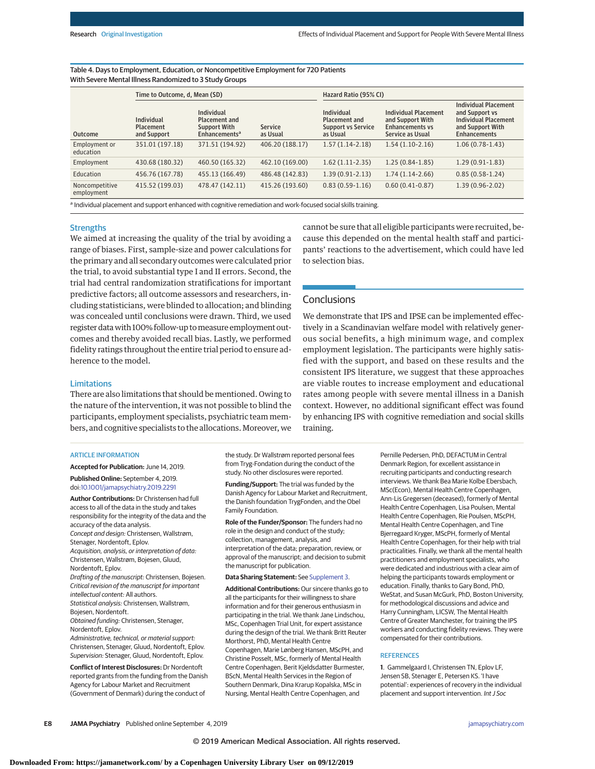Table 4. Days to Employment, Education, or Noncompetitive Employment for 720 Patients With Severe Mental Illness Randomized to 3 Study Groups

|                              | Time to Outcome, d, Mean (SD)          |                                                                                              |                     |                                                                             | Hazard Ratio (95% CI)                                                                         |                                                                                                                         |  |  |
|------------------------------|----------------------------------------|----------------------------------------------------------------------------------------------|---------------------|-----------------------------------------------------------------------------|-----------------------------------------------------------------------------------------------|-------------------------------------------------------------------------------------------------------------------------|--|--|
| <b>Outcome</b>               | Individual<br>Placement<br>and Support | Individual<br><b>Placement and</b><br><b>Support With</b><br><b>Enhancements<sup>a</sup></b> | Service<br>as Usual | Individual<br><b>Placement and</b><br><b>Support vs Service</b><br>as Usual | <b>Individual Placement</b><br>and Support With<br><b>Enhancements vs</b><br>Service as Usual | <b>Individual Placement</b><br>and Support ys<br><b>Individual Placement</b><br>and Support With<br><b>Enhancements</b> |  |  |
| Employment or<br>education   | 351.01 (197.18)                        | 371.51 (194.92)                                                                              | 406.20 (188.17)     | $1.57(1.14-2.18)$                                                           | $1.54(1.10-2.16)$                                                                             | $1.06(0.78-1.43)$                                                                                                       |  |  |
| Employment                   | 430.68 (180.32)                        | 460.50 (165.32)                                                                              | 462.10 (169.00)     | $1.62(1.11-2.35)$                                                           | $1.25(0.84-1.85)$                                                                             | $1.29(0.91-1.83)$                                                                                                       |  |  |
| Education                    | 456.76 (167.78)                        | 455.13 (166.49)                                                                              | 486.48 (142.83)     | $1.39(0.91 - 2.13)$                                                         | $1.74(1.14-2.66)$                                                                             | $0.85(0.58-1.24)$                                                                                                       |  |  |
| Noncompetitive<br>employment | 415.52 (199.03)                        | 478.47 (142.11)                                                                              | 415.26 (193.60)     | $0.83(0.59-1.16)$                                                           | $0.60(0.41-0.87)$                                                                             | $1.39(0.96 - 2.02)$                                                                                                     |  |  |

a Individual placement and support enhanced with cognitive remediation and work-focused social skills training.

## **Strengths**

We aimed at increasing the quality of the trial by avoiding a range of biases. First, sample-size and power calculations for the primary and all secondary outcomes were calculated prior the trial, to avoid substantial type I and II errors. Second, the trial had central randomization stratifications for important predictive factors; all outcome assessors and researchers, including statisticians, were blinded to allocation; and blinding was concealed until conclusions were drawn. Third, we used register datawith 100% follow-up tomeasure employment outcomes and thereby avoided recall bias. Lastly, we performed fidelity ratings throughout the entire trial period to ensure adherence to the model.

There are also limitations that should be mentioned. Owing to

bers, and cognitive specialists to the allocations. Moreover, we

cannot be sure that all eligible participants were recruited, because this depended on the mental health staff and participants' reactions to the advertisement, which could have led to selection bias.

# **Conclusions**

We demonstrate that IPS and IPSE can be implemented effectively in a Scandinavian welfare model with relatively generous social benefits, a high minimum wage, and complex employment legislation. The participants were highly satisfied with the support, and based on these results and the consistent IPS literature, we suggest that these approaches are viable routes to increase employment and educational rates among people with severe mental illness in a Danish context. However, no additional significant effect was found by enhancing IPS with cognitive remediation and social skills training.

# the nature of the intervention, it was not possible to blind the participants, employment specialists, psychiatric team mem-

Limitations

## ARTICLE INFORMATION

**Accepted for Publication:** June 14, 2019.

**Published Online:** September 4, 2019. doi[:10.1001/jamapsychiatry.2019.2291](https://jama.jamanetwork.com/article.aspx?doi=10.1001/jamapsychiatry.2019.2291&utm_campaign=articlePDF%26utm_medium=articlePDFlink%26utm_source=articlePDF%26utm_content=jamapsychiatry.2019.2291)

**Author Contributions:** Dr Christensen had full access to all of the data in the study and takes responsibility for the integrity of the data and the accuracy of the data analysis. Concept and design: Christensen, Wallstrøm, Stenager, Nordentoft, Eplov. Acquisition, analysis, or interpretation of data: Christensen, Wallstrøm, Bojesen, Gluud, Nordentoft, Eplov. Drafting of the manuscript: Christensen, Bojesen. Critical revision of the manuscript for important intellectual content: All authors. Statistical analysis: Christensen, Wallstrøm, Bojesen, Nordentoft.

Obtained funding: Christensen, Stenager, Nordentoft, Eplov.

Administrative, technical, or material support: Christensen, Stenager, Gluud, Nordentoft, Eplov. Supervision: Stenager, Gluud, Nordentoft, Eplov.

**Conflict of Interest Disclosures:** Dr Nordentoft reported grants from the funding from the Danish Agency for Labour Market and Recruitment (Government of Denmark) during the conduct of

the study. Dr Wallstrøm reported personal fees from Tryg-Fondation during the conduct of the study. No other disclosures were reported.

**Funding/Support:** The trial was funded by the Danish Agency for Labour Market and Recruitment, the Danish foundation TrygFonden, and the Obel Family Foundation.

**Role of the Funder/Sponsor:** The funders had no role in the design and conduct of the study; collection, management, analysis, and interpretation of the data; preparation, review, or approval of the manuscript; and decision to submit the manuscript for publication.

# **Data Sharing Statement:** See [Supplement 3.](https://jama.jamanetwork.com/article.aspx?doi=10.1001/jamapsychiatry.2019.2291&utm_campaign=articlePDF%26utm_medium=articlePDFlink%26utm_source=articlePDF%26utm_content=jamapsychiatry.2019.2291)

**Additional Contributions:** Our sincere thanks go to all the participants for their willingness to share information and for their generous enthusiasm in participating in the trial. We thank Jane Lindschou, MSc, Copenhagen Trial Unit, for expert assistance during the design of the trial. We thank Britt Reuter Morthorst, PhD, Mental Health Centre Copenhagen, Marie Lønberg Hansen, MScPH, and Christine Posselt, MSc, formerly of Mental Health Centre Copenhagen, Berit Kjeldsdatter Burmester, BScN, Mental Health Services in the Region of Southern Denmark, Dina Krarup Kopalska, MSc in Nursing, Mental Health Centre Copenhagen, and

Pernille Pedersen, PhD, DEFACTUM in Central Denmark Region, for excellent assistance in recruiting participants and conducting research interviews. We thank Bea Marie Kolbe Ebersbach, MSc(Econ), Mental Health Centre Copenhagen, Ann-Lis Gregersen (deceased), formerly of Mental Health Centre Copenhagen, Lisa Poulsen, Mental Health Centre Copenhagen, Rie Poulsen, MScPH, Mental Health Centre Copenhagen, and Tine Bjerregaard Kryger, MScPH, formerly of Mental Health Centre Copenhagen, for their help with trial practicalities. Finally, we thank all the mental health practitioners and employment specialists, who were dedicated and industrious with a clear aim of helping the participants towards employment or education. Finally, thanks to Gary Bond, PhD, WeStat, and Susan McGurk, PhD, Boston University, for methodological discussions and advice and Harry Cunningham, LICSW, The Mental Health Centre of Greater Manchester, for training the IPS workers and conducting fidelity reviews. They were compensated for their contributions.

## **REFERENCES**

**1**. Gammelgaard I, Christensen TN, Eplov LF, Jensen SB, Stenager E, Petersen KS. 'I have potential': experiences of recovery in the individual placement and support intervention. Int J Soc